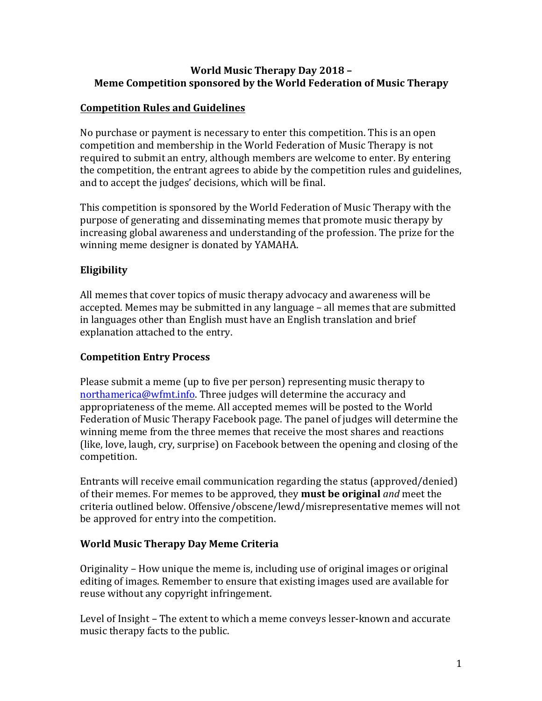### **World Music Therapy Day 2018 -Meme Competition sponsored by the World Federation of Music Therapy**

### **Competition Rules and Guidelines**

No purchase or payment is necessary to enter this competition. This is an open competition and membership in the World Federation of Music Therapy is not required to submit an entry, although members are welcome to enter. By entering the competition, the entrant agrees to abide by the competition rules and guidelines, and to accept the judges' decisions, which will be final.

This competition is sponsored by the World Federation of Music Therapy with the purpose of generating and disseminating memes that promote music therapy by increasing global awareness and understanding of the profession. The prize for the winning meme designer is donated by YAMAHA.

# **Eligibility**

All memes that cover topics of music therapy advocacy and awareness will be accepted. Memes may be submitted in any language – all memes that are submitted in languages other than English must have an English translation and brief explanation attached to the entry.

#### **Competition Entry Process**

Please submit a meme (up to five per person) representing music therapy to northamerica@wfmt.info. Three judges will determine the accuracy and appropriateness of the meme. All accepted memes will be posted to the World Federation of Music Therapy Facebook page. The panel of judges will determine the winning meme from the three memes that receive the most shares and reactions (like, love, laugh, cry, surprise) on Facebook between the opening and closing of the competition. 

Entrants will receive email communication regarding the status (approved/denied) of their memes. For memes to be approved, they **must be original** *and* meet the criteria outlined below. Offensive/obscene/lewd/misrepresentative memes will not be approved for entry into the competition.

#### **World Music Therapy Day Meme Criteria**

Originality – How unique the meme is, including use of original images or original editing of images. Remember to ensure that existing images used are available for reuse without any copyright infringement.

Level of Insight - The extent to which a meme conveys lesser-known and accurate music therapy facts to the public.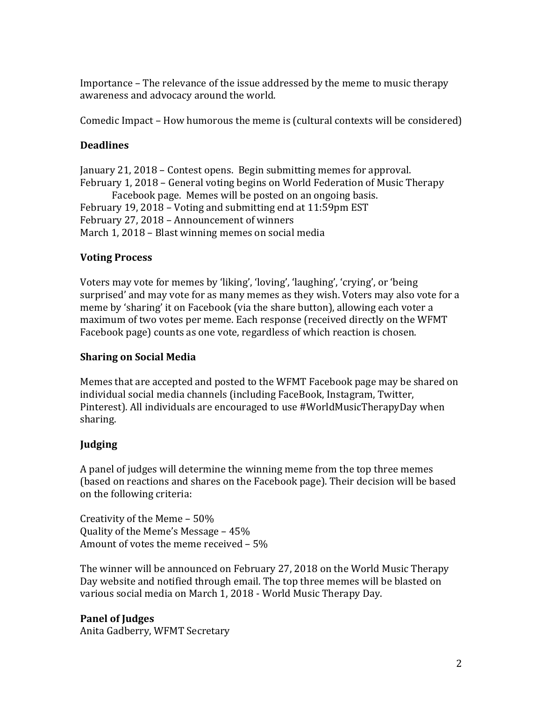Importance – The relevance of the issue addressed by the meme to music therapy awareness and advocacy around the world.

Comedic Impact - How humorous the meme is (cultural contexts will be considered)

# **Deadlines**

January 21, 2018 - Contest opens. Begin submitting memes for approval. February 1, 2018 – General voting begins on World Federation of Music Therapy Facebook page. Memes will be posted on an ongoing basis. February 19, 2018 - Voting and submitting end at 11:59pm EST February 27, 2018 - Announcement of winners March 1, 2018 – Blast winning memes on social media

# **Voting Process**

Voters may vote for memes by 'liking', 'loving', 'laughing', 'crying', or 'being' surprised' and may vote for as many memes as they wish. Voters may also vote for a meme by 'sharing' it on Facebook (via the share button), allowing each voter a maximum of two votes per meme. Each response (received directly on the WFMT Facebook page) counts as one vote, regardless of which reaction is chosen.

## **Sharing on Social Media**

Memes that are accepted and posted to the WFMT Facebook page may be shared on individual social media channels (including FaceBook, Instagram, Twitter, Pinterest). All individuals are encouraged to use #WorldMusicTherapyDay when sharing.

# **Judging**

A panel of judges will determine the winning meme from the top three memes (based on reactions and shares on the Facebook page). Their decision will be based on the following criteria:

Creativity of the Meme  $-50\%$ Ouality of the Meme's Message  $-45%$ Amount of votes the meme received  $-5%$ 

The winner will be announced on February 27, 2018 on the World Music Therapy Day website and notified through email. The top three memes will be blasted on various social media on March 1, 2018 - World Music Therapy Day.

**Panel of Judges** Anita Gadberry, WFMT Secretary